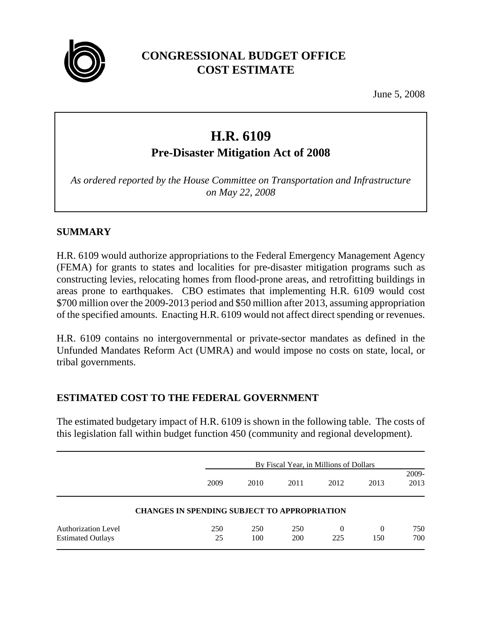

# **CONGRESSIONAL BUDGET OFFICE COST ESTIMATE**

June 5, 2008

# **H.R. 6109**

**Pre-Disaster Mitigation Act of 2008**

*As ordered reported by the House Committee on Transportation and Infrastructure on May 22, 2008*

### **SUMMARY**

H.R. 6109 would authorize appropriations to the Federal Emergency Management Agency (FEMA) for grants to states and localities for pre-disaster mitigation programs such as constructing levies, relocating homes from flood-prone areas, and retrofitting buildings in areas prone to earthquakes. CBO estimates that implementing H.R. 6109 would cost \$700 million over the 2009-2013 period and \$50 million after 2013, assuming appropriation of the specified amounts. Enacting H.R. 6109 would not affect direct spending or revenues.

H.R. 6109 contains no intergovernmental or private-sector mandates as defined in the Unfunded Mandates Reform Act (UMRA) and would impose no costs on state, local, or tribal governments.

## **ESTIMATED COST TO THE FEDERAL GOVERNMENT**

The estimated budgetary impact of H.R. 6109 is shown in the following table. The costs of this legislation fall within budget function 450 (community and regional development).

|                                                     |           | By Fiscal Year, in Millions of Dollars |            |                 |                 |               |
|-----------------------------------------------------|-----------|----------------------------------------|------------|-----------------|-----------------|---------------|
|                                                     | 2009      | 2010                                   | 2011       | 2012            | 2013            | 2009-<br>2013 |
| <b>CHANGES IN SPENDING SUBJECT TO APPROPRIATION</b> |           |                                        |            |                 |                 |               |
| Authorization Level<br><b>Estimated Outlays</b>     | 250<br>25 | 250<br>100                             | 250<br>200 | $\Omega$<br>225 | $\theta$<br>150 | 750<br>700    |